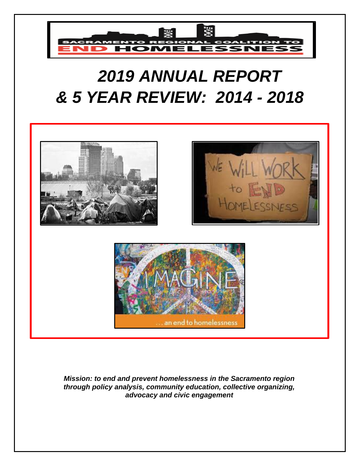

# *2019 ANNUAL REPORT & 5 YEAR REVIEW: 2014 - 2018*







*Mission: to end and prevent homelessness in the Sacramento region through policy analysis, community education, collective organizing, advocacy and civic engagement*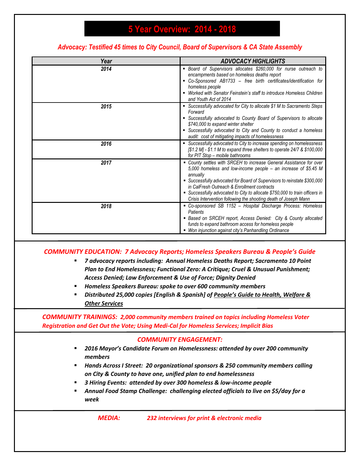### **5 Year Overview: 2014 - 2018**

### *Advocacy: Testified 45 times to City Council, Board of Supervisors & CA State Assembly*

| Year | <b>ADVOCACY HIGHLIGHTS</b>                                                                                                                                                                                                                                                                                                                                                                                                     |
|------|--------------------------------------------------------------------------------------------------------------------------------------------------------------------------------------------------------------------------------------------------------------------------------------------------------------------------------------------------------------------------------------------------------------------------------|
| 2014 | • Board of Supervisors allocates \$260,000 for nurse outreach to<br>encampments based on homeless deaths report<br>• Co-Sponsored AB1733 – free birth certificates/identification for<br>homeless people<br>• Worked with Senator Feinstein's staff to introduce Homeless Children<br>and Youth Act of 2014                                                                                                                    |
| 2015 | • Successfully advocated for City to allocate \$1 M to Sacramento Steps<br>Forward<br>• Successfully advocated to County Board of Supervisors to allocate<br>\$740,000 to expand winter shelter<br>• Successfully advocated to City and County to conduct a homeless<br>audit: cost of mitigating impacts of homelessness                                                                                                      |
| 2016 | • Successfully advocated to City to increase spending on homelessness<br>[\$1.2 M] - \$1.1 M to expand three shelters to operate 24/7 & \$100,000<br>for PIT Stop - mobile bathrooms                                                                                                                                                                                                                                           |
| 2017 | • County settles with SRCEH to increase General Assistance for over<br>5,000 homeless and low-income people - an increase of \$5.45 M<br>annually<br>• Successfully advocated for Board of Supervisors to reinstate \$300,000<br>in CalFresh Outreach & Enrollment contracts<br>■ Successfully advocated to City to allocate \$750,000 to train officers in<br>Crisis Intervention following the shooting death of Joseph Mann |
| 2018 | • Co-sponsored SB 1152 - Hospital Discharge Process: Homeless<br>Patients<br>• Based on SRCEH report, Access Denied: City & County allocated<br>funds to expand bathroom access for homeless people<br>• Won injunction against city's Panhandling Ordinance                                                                                                                                                                   |

#### *COMMUNITY EDUCATION: 7 Advocacy Reports; Homeless Speakers Bureau & People's Guide*

- *7 advocacy reports including: Annual Homeless Deaths Report; Sacramento 10 Point Plan to End Homelessness; Functional Zero: A Critique; Cruel & Unusual Punishment; Access Denied; Law Enforcement & Use of Force; Dignity Denied*
- *Homeless Speakers Bureau: spoke to over 600 community members*
- *Distributed 25,000 copies [English & Spanish] of People's Guide to Health, Welfare & Other Services*

#### *COMMUNITY TRAININGS: 2,000 community members trained on topics including Homeless Voter Registration and Get Out the Vote; Using Medi-Cal for Homeless Services; Implicit Bias*

#### *COMMUNITY ENGAGEMENT:*

- *2016 Mayor's Candidate Forum on Homelessness: attended by over 200 community members*
- *Hands Across I Street: 20 organizational sponsors & 250 community members calling on City & County to have one, unified plan to end homelessness*
- *3 Hiring Events: attended by over 300 homeless & low-income people*
- **EXED Annual Food Stamp Challenge: challenging elected officials to live on \$5/day for a** *week*

*MEDIA: 232 interviews for print & electronic media*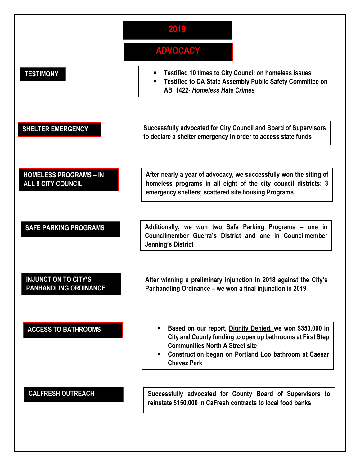

**SAFE PARKING PROGRAMS Additionally, we won two Safe Parking Programs – one in Councilmember Guerra's District and one in Councilmember Jenning's District**

### **INJUNCTION TO CITY'S PANHANDLING ORDINANCE**

**After winning a preliminary injunction in 2018 against the City's Panhandling Ordinance – we won a final injunction in 2019**

- **ACCESS TO BATHROOMS**  $\blacksquare$  **Example 350,000 in Based on our report, Dignity Denied, we won \$350,000 in City and County funding to open up bathrooms at First Step Communities North A Street site**
	- **Construction began on Portland Loo bathroom at Caesar Chavez Park**

**CALFRESH OUTREACH Successfully advocated for County Board of Supervisors to reinstate \$150,000 in CaFresh contracts to local food banks**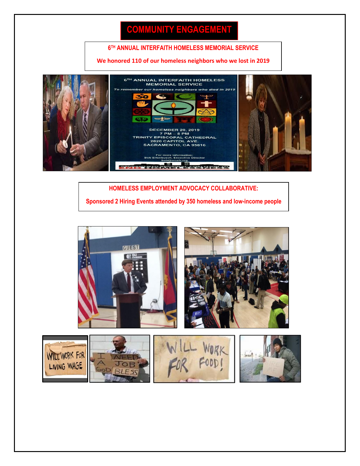## **COMMUNITY ENGAGEMENT**

#### **6 TH ANNUAL INTERFAITH HOMELESS MEMORIAL SERVICE**

#### **We honored 110 of our homeless neighbors who we lost in 2019**



**HOMELESS EMPLOYMENT ADVOCACY COLLABORATIVE: Sponsored 2 Hiring Events attended by 350 homeless and low-income people**





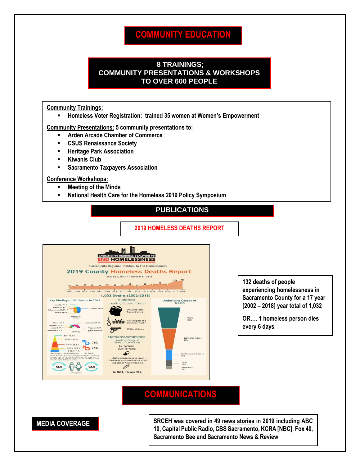### **COMMUNITY EDUCATION**

#### **8 TRAININGS; COMMUNITY PRESENTATIONS & WORKSHOPS TO OVER 600 PEOPLE**

#### **Community Trainings:**

▪ **Homeless Voter Registration: trained 35 women at Women's Empowerment**

**Community Presentations: 5 community presentations to:**

- **Arden Arcade Chamber of Commerce**
- **CSUS Renaissance Society**
- **Heritage Park Association**
- **Kiwanis Club**
- **Sacramento Taxpayers Association**

#### **Conference Workshops:**

- **Meeting of the Minds**
- **National Health Care for the Homeless 2019 Policy Symposium**

#### **PUBLICATIONS**

**2019 HOMELESS DEATHS REPORT**



**132 deaths of people experiencing homelessness in Sacramento County for a 17 year [2002 – 2018] year total of 1,032**

**OR…. 1 homeless person dies every 6 days**

### **COMMUNICATIONS**



**MEDIA COVERAGE SRCEH was covered in 49 news stories** in 2019 including ABC **10, Capital Public Radio, CBS Sacramento, KCRA [NBC]. Fox 40, Sacramento Bee and Sacramento News & Review**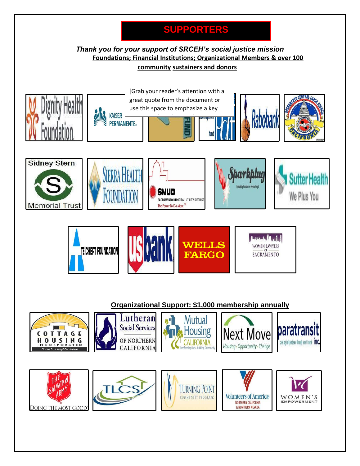## **SUPPORTERS**

### *Thank you for your support of SRCEH's social justice mission* **Foundations; Financial Institutions; Organizational Members & over 100 community sustainers and donors**

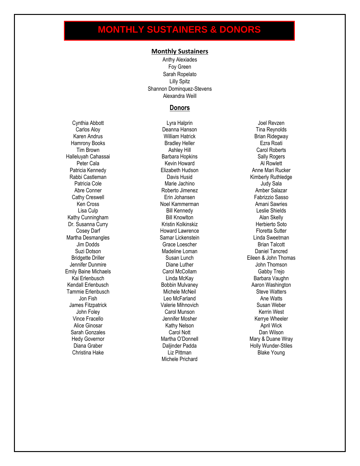## **MONTHLY SUSTAINERS & DONORS**

#### **Monthly Sustainers**

Anthy Alexiades Foy Green Sarah Ropelato Lilly Spitz Shannon Dominquez-Stevens Alexandra Weill

#### **Donors**

Hamrony Books **Bradley Heller Bradley Heller Ezra Roati** Halleluyah Cahassai Barbara Hopkins Sally Rogers Patricia Kennedy **Elizabeth Hudson Elizabeth Hudson** Anne Mari Rucker Rabbi Castleman **National Castleman** Davis Husid Castleman Kimberly Ruthledge Kathy Cunningham **Bill Knowlton** Bill Knowlton **Alan Skelly** Dr. Susanna Curry **Kristin Kolkinskiz Kristin Kolkinskiz** Herbierto Soto Martha Desmangles **Samar Lickenstein** Samar Lickenstein Linda Sweetman Jennifer Dunmire Diane Luther John Thomson Emily Baine Michaels Carol McCollam Gabby Trejo Kendall Erlenbusch **Bobbin Mulvaney** Mulvaney Aaron Washington Tammie Erlenbusch **Michele McNeil** Steve Watters Steve Watters James Fitzpatrick Valerie Mihnovich Susan Weber Sarah Gonzales Carol Nott Dan Wilson

Cynthia Abbott Lyra Halprin Joel Revzen Carlos Aloy **Carlos Aloy** Deanna Hanson **Deanna Hanson** Tina Reynolds Karen Andrus **Karen Andrus III berarta Brian Andrus** William Hatrick **Brian Ridegway** Tim Brown **Ashley Hill** Carol Roberts Carol Roberts Peter Cala **Kevin Howard** Al Rowlett Patricia Cole **Marie Jachino** Marie Jachino **Marie Jachino** Judy Sala Abre Conner **Amber Salazar** Roberto Jimenez **Amber Salazar** Amber Salazar Cathy Creswell **Erin Johansen** Erin Johansen Fabrizzio Sasso Ken Cross Noel Kammerman Amani Sawries Lisa Culp **Bill Kennedy Bill Kennedy Lisa Culp** Cosey Darf **Howard Lawrence** Floretta Sutter **Howard Lawrence** Jim Dodds **Grace Loescher** Brian Talcott Brian Talcott Suzi Dotson Madeline Loman Daniel Tancred Kai Erlenbusch **Linda McKay** Barbara Vaughn Jon Fish **Contract Contract Contract Leo McFarland** Contract Ane Watts John Foley **Carol Munson** Carol Munson **Carol Munson** Kerrin West Vince Fracello **Vince Fracello** Jennifer Mosher **Michaeler** Kerrye Wheeler Alice Ginosar **Alice Ginosar** April Wick **Kathy Nelson** April Wick **April Wick** Christina Hake **Liz Pittman** Liz Pittman **Blake Young** Michele Prichard

Bridgette Driller **Susan Lunch** Susan Lunch **Eileen & John Thomas** Hedy Governor **Martha O'Donnell** Martha O'Donnell Mary & Duane Wray and Martha O'Donnell Diana Graber Daljinder Padda Holly Wunder-Stiles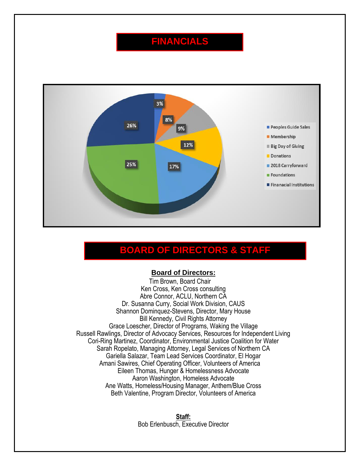### **FINANCIALS**



### **BOARD OF DIRECTORS & STAFF**

#### **Board of Directors:**

Tim Brown, Board Chair Ken Cross, Ken Cross consulting Abre Connor, ACLU, Northern CA Dr. Susanna Curry, Social Work Division, CAUS Shannon Dominquez-Stevens, Director, Mary House Bill Kennedy, Civil Rights Attorney Grace Loescher, Director of Programs, Waking the Village Russell Rawlings, Director of Advocacy Services, Resources for Independent Living Cori-Ring Martinez, Coordinator, Environmental Justice Coalition for Water Sarah Ropelato, Managing Attorney, Legal Services of Northern CA Gariella Salazar, Team Lead Services Coordinator, El Hogar Amani Sawires, Chief Operating Officer, Volunteers of America Eileen Thomas, Hunger & Homelessness Advocate Aaron Washington, Homeless Advocate Ane Watts, Homeless/Housing Manager, Anthem/Blue Cross Beth Valentine, Program Director, Volunteers of America

> **Staff:** Bob Erlenbusch, Executive Director